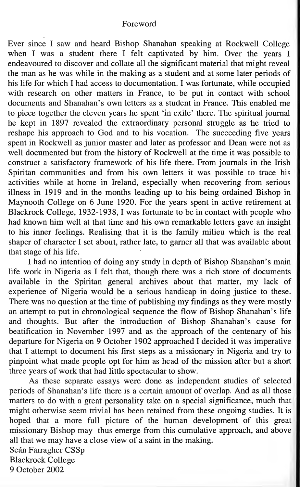## Foreword

Ever since I saw and heard Bishop Shanahan speaking at Rockwell College when I was a student there I felt captivated by him. Over the years I endeavoured to discover and collate all the significant material that might reveal the man as he was while in the making as a student and at some later periods of his life for which I had access to documentation. I was fortunate, while occupied with research on other matters in France, to be put in contact with school documents and Shanahan's own letters as a student in France. This enabled me to piece together the eleven years he spent 'in exile' there. The spiritual journal he kept in 1897 revealed the extraordinary personal struggle as he tried to reshape his approach to God and to his vocation. The succeeding five years spent in Rockwell as junior master and later as professor and Dean were not as well documented but from the history of Rockwell at the time it was possible to construct a satisfactory framework of his life there. From journals in the Irish Spiritan communities and from his own letters it was possible to trace his activities while at home in Ireland, especially when recovering from serious illness in 1919 and in the months leading up to his being ordained Bishop in Maynooth College on 6 June 1920. For the years spent in active retirement at Blackrock College, 1932-1938, I was fortunate to be in contact with people who had known him well at that time and his own remarkable letters gave an insight to his inner feelings. Realising that it is the family milieu which is the real shaper of character I set about, rather late, to garner all that was available about that stage of his life.

I had no intention of doing any study in depth of Bishop Shanahan's main life work in Nigeria as I felt that, though there was a rich store of documents available in the Spiritan general archives about that matter, my lack of experience of Nigeria would be a serious handicap in doing justice to these. There was no question at the time of publishing my findings as they were mostly an attempt to put in chronological sequence the flow of Bishop Shanahan's life and thoughts. But after the introduction of Bishop Shanahan's cause for beatification in November 1997 and as the approach of the centenary of his departure for Nigeria on 9 October 1902 approached I decided it was imperative that I attempt to document his first steps as a missionary in Nigeria and try to pinpoint what made people opt for him as head of the mission after but a short three years of work that had little spectacular to show.

As these separate essays were done as independent studies of selected periods of Shanahan's life there is a certain amount of overlap. And as all those matters to do with a great personality take on a special significance, much that might otherwise seem trivial has been retained from these ongoing studies. It is hoped that a more full picture of the human development of this great missionary Bishop may thus emerge from this cumulative approach, and above all that we may have a close view of a saint in the making. Seán Farragher CSSp Blackrock College 9 October 2002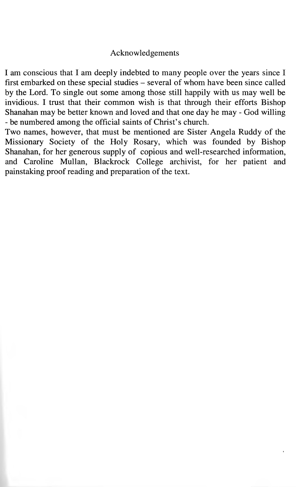## Acknowledgements

I am conscious that I am deeply indebted to many people over the years since I first embarked on these special studies - several of whom have been since called by the Lord. To single out some among those still happily with us may well be invidious. I trust that their common wish is that through their efforts Bishop Shanahan may be better known and loved and that one day he may - God willing - be numbered among the official saints of Christ's church.

Two names, however, that must be mentioned are Sister Angela Ruddy of the Missionary Society of the Holy Rosary, which was founded by Bishop Shanahan, for her generous supply of copious and well-researched information, and Caroline Mullan, Blackrock College archivist, for her patient and painstaking proof reading and preparation of the text.